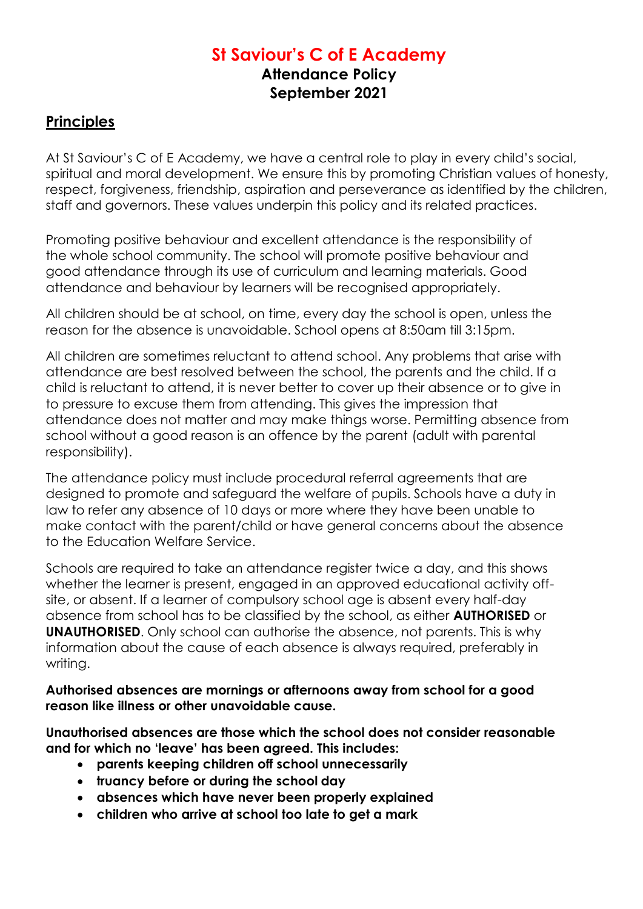# **St Saviour's C of E Academy**

## **Attendance Policy September 2021**

## **Principles**

At St Saviour's C of E Academy, we have a central role to play in every child's social, spiritual and moral development. We ensure this by promoting Christian values of honesty, respect, forgiveness, friendship, aspiration and perseverance as identified by the children, staff and governors. These values underpin this policy and its related practices.

Promoting positive behaviour and excellent attendance is the responsibility of the whole school community. The school will promote positive behaviour and good attendance through its use of curriculum and learning materials. Good attendance and behaviour by learners will be recognised appropriately.

All children should be at school, on time, every day the school is open, unless the reason for the absence is unavoidable. School opens at 8:50am till 3:15pm.

All children are sometimes reluctant to attend school. Any problems that arise with attendance are best resolved between the school, the parents and the child. If a child is reluctant to attend, it is never better to cover up their absence or to give in to pressure to excuse them from attending. This gives the impression that attendance does not matter and may make things worse. Permitting absence from school without a good reason is an offence by the parent (adult with parental responsibility).

The attendance policy must include procedural referral agreements that are designed to promote and safeguard the welfare of pupils. Schools have a duty in law to refer any absence of 10 days or more where they have been unable to make contact with the parent/child or have general concerns about the absence to the Education Welfare Service.

Schools are required to take an attendance register twice a day, and this shows whether the learner is present, engaged in an approved educational activity offsite, or absent. If a learner of compulsory school age is absent every half-day absence from school has to be classified by the school, as either **AUTHORISED** or **UNAUTHORISED**. Only school can authorise the absence, not parents. This is why information about the cause of each absence is always required, preferably in writing.

#### **Authorised absences are mornings or afternoons away from school for a good reason like illness or other unavoidable cause.**

**Unauthorised absences are those which the school does not consider reasonable and for which no 'leave' has been agreed. This includes:**

- **parents keeping children off school unnecessarily**
- **truancy before or during the school day**
- **absences which have never been properly explained**
- **children who arrive at school too late to get a mark**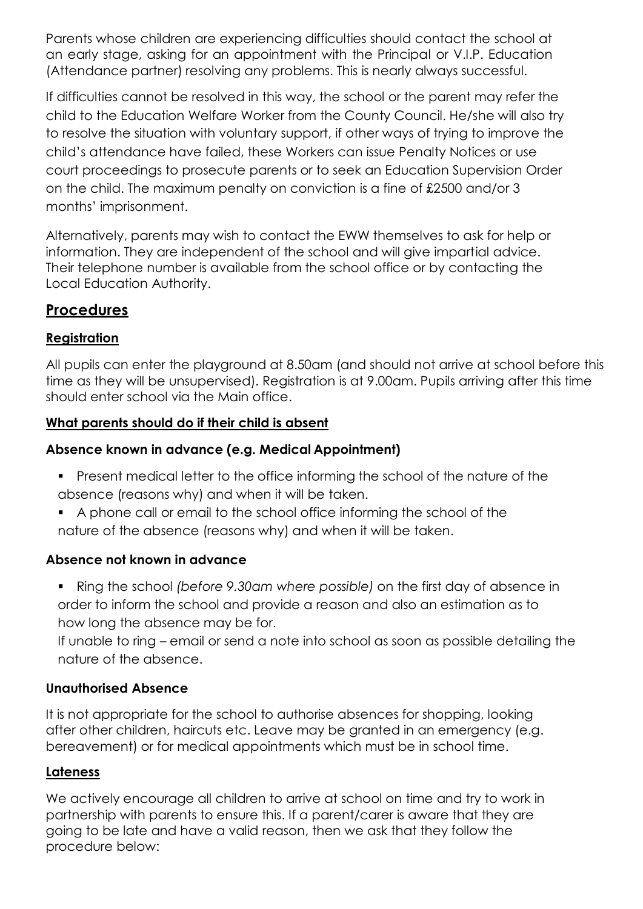Parents whose children are experiencing difficulties should contact the school at an early stage, asking for an appointment with the Principal or V.I.P. Education (Attendance partner) resolving any problems. This is nearly always successful.

If difficulties cannot be resolved in this way, the school or the parent may refer the child to the Education Welfare Worker from the County Council. He/she will also try to resolve the situation with voluntary support, if other ways of trying to improve the child's attendance have failed, these Workers can issue Penalty Notices or use court proceedings to prosecute parents or to seek an Education Supervision Order on the child. The maximum penalty on conviction is a fine of £2500 and/or 3 months' imprisonment.

Alternatively, parents may wish to contact the EWW themselves to ask for help or information. They are independent of the school and will give impartial advice. Their telephone number is available from the school office or by contacting the Local Education Authority.

## **Procedures**

## **Registration**

All pupils can enter the playground at 8.50am (and should not arrive at school before this time as they will be unsupervised). Registration is at 9.00am. Pupils arriving after this time should enter school via the Main office.

### **What parents should do if their child is absent**

### **Absence known in advance (e.g. Medical Appointment)**

- Present medical letter to the office informing the school of the nature of the absence (reasons why) and when it will be taken.
- A phone call or email to the school office informing the school of the nature of the absence (reasons why) and when it will be taken.

### **Absence not known in advance**

 Ring the school *(before 9.30am where possible)* on the first day of absence in order to inform the school and provide a reason and also an estimation as to how long the absence may be for.

If unable to ring – email or send a note into school as soon as possible detailing the nature of the absence.

### **Unauthorised Absence**

It is not appropriate for the school to authorise absences for shopping, looking after other children, haircuts etc. Leave may be granted in an emergency (e.g. bereavement) or for medical appointments which must be in school time.

### **Lateness**

We actively encourage all children to arrive at school on time and try to work in partnership with parents to ensure this. If a parent/carer is aware that they are going to be late and have a valid reason, then we ask that they follow the procedure below: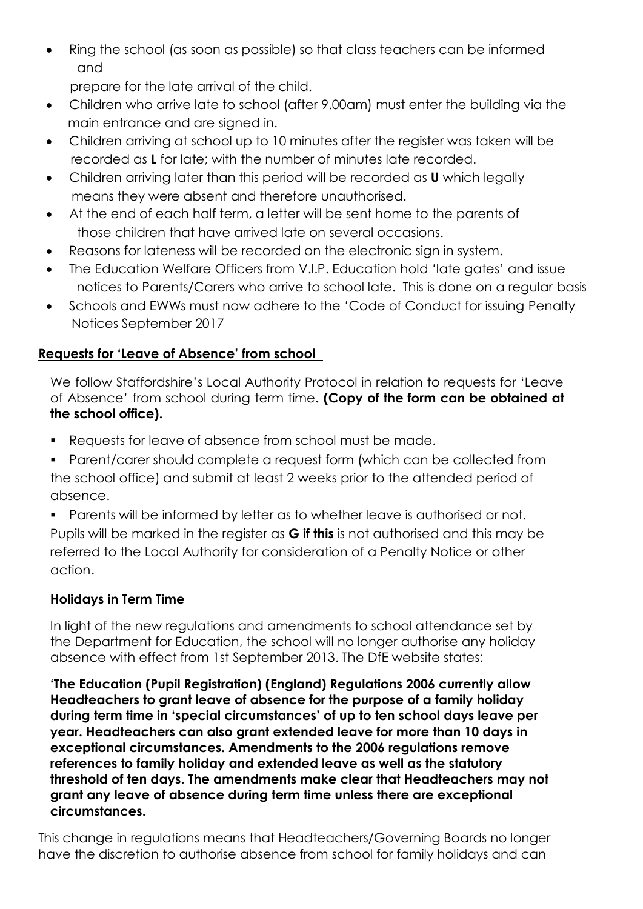Ring the school (as soon as possible) so that class teachers can be informed and

prepare for the late arrival of the child.

- Children who arrive late to school (after 9.00am) must enter the building via the main entrance and are signed in.
- Children arriving at school up to 10 minutes after the register was taken will be recorded as **L** for late; with the number of minutes late recorded.
- Children arriving later than this period will be recorded as **U** which legally means they were absent and therefore unauthorised.
- At the end of each half term, a letter will be sent home to the parents of those children that have arrived late on several occasions.
- Reasons for lateness will be recorded on the electronic sign in system.
- The Education Welfare Officers from V.I.P. Education hold 'late gates' and issue notices to Parents/Carers who arrive to school late. This is done on a regular basis
- Schools and EWWs must now adhere to the 'Code of Conduct for issuing Penalty Notices September 2017

## **Requests for 'Leave of Absence' from school**

We follow Staffordshire's Local Authority Protocol in relation to requests for 'Leave of Absence' from school during term time**. (Copy of the form can be obtained at the school office).**

- Requests for leave of absence from school must be made.
- Parent/carer should complete a request form (which can be collected from the school office) and submit at least 2 weeks prior to the attended period of absence.

 Parents will be informed by letter as to whether leave is authorised or not. Pupils will be marked in the register as **G if this** is not authorised and this may be referred to the Local Authority for consideration of a Penalty Notice or other action.

## **Holidays in Term Time**

In light of the new regulations and amendments to school attendance set by the Department for Education, the school will no longer authorise any holiday absence with effect from 1st September 2013. The DfE website states:

**'The Education (Pupil Registration) (England) Regulations 2006 currently allow Headteachers to grant leave of absence for the purpose of a family holiday during term time in 'special circumstances' of up to ten school days leave per year. Headteachers can also grant extended leave for more than 10 days in exceptional circumstances. Amendments to the 2006 regulations remove references to family holiday and extended leave as well as the statutory threshold of ten days. The amendments make clear that Headteachers may not grant any leave of absence during term time unless there are exceptional circumstances.**

This change in regulations means that Headteachers/Governing Boards no longer have the discretion to authorise absence from school for family holidays and can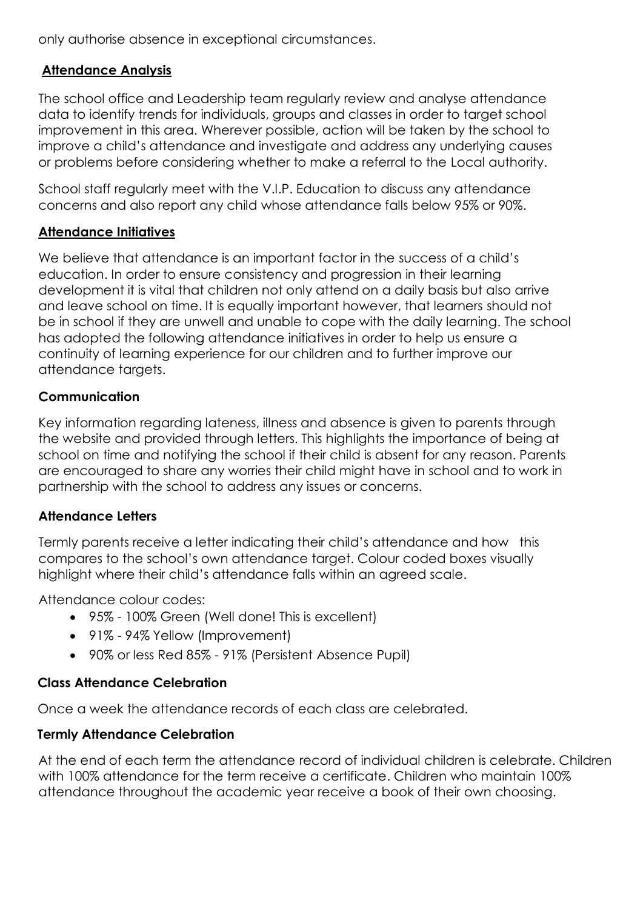only authorise absence in exceptional circumstances.

#### **Attendance Analysis**

The school office and Leadership team regularly review and analyse attendance data to identify trends for individuals, groups and classes in order to target school improvement in this area. Wherever possible, action will be taken by the school to improve a child's attendance and investigate and address any underlying causes or problems before considering whether to make a referral to the Local authority.

School staff regularly meet with the V.I.P. Education to discuss any attendance concerns and also report any child whose attendance falls below 95% or 90%.

#### **Attendance Initiatives**

We believe that attendance is an important factor in the success of a child's education. In order to ensure consistency and progression in their learning development it is vital that children not only attend on a daily basis but also arrive and leave school on time. It is equally important however, that learners should not be in school if they are unwell and unable to cope with the daily learning. The school has adopted the following attendance initiatives in order to help us ensure a continuity of learning experience for our children and to further improve our attendance targets.

#### **Communication**

Key information regarding lateness, illness and absence is given to parents through the website and provided through letters. This highlights the importance of being at school on time and notifying the school if their child is absent for any reason. Parents are encouraged to share any worries their child might have in school and to work in partnership with the school to address any issues or concerns.

#### **Attendance Letters**

Termly parents receive a letter indicating their child's attendance and how this compares to the school's own attendance target. Colour coded boxes visually highlight where their child's attendance falls within an agreed scale.

Attendance colour codes:

- 95% 100% Green (Well done! This is excellent)
- 91% 94% Yellow (Improvement)
- 90% or less Red 85% 91% (Persistent Absence Pupil)

#### **Class Attendance Celebration**

Once a week the attendance records of each class are celebrated.

#### **Termly Attendance Celebration**

At the end of each term the attendance record of individual children is celebrate. Children with 100% attendance for the term receive a certificate. Children who maintain 100% attendance throughout the academic year receive a book of their own choosing.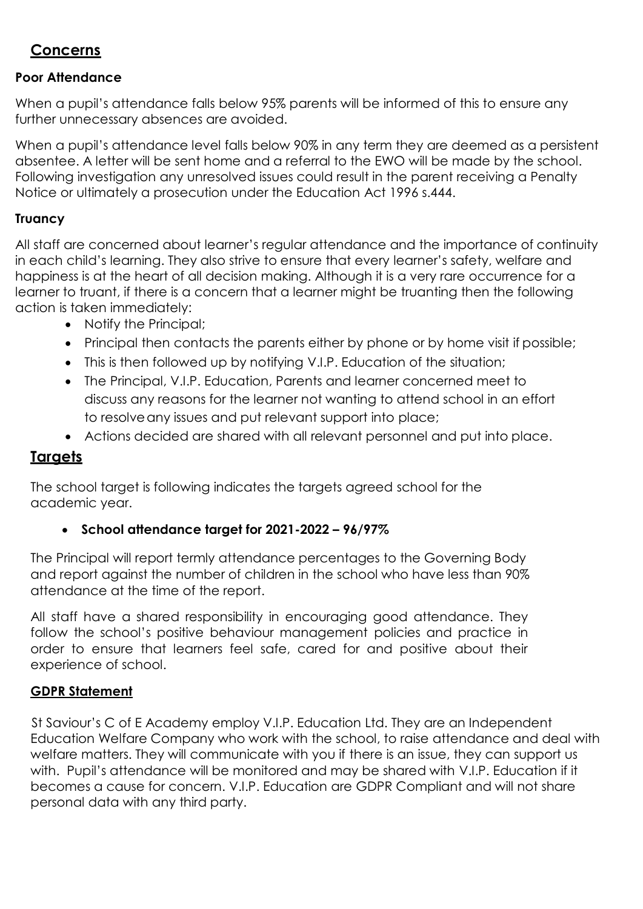## **Concerns**

#### **Poor Attendance**

When a pupil's attendance falls below 95% parents will be informed of this to ensure any further unnecessary absences are avoided.

When a pupil's attendance level falls below 90% in any term they are deemed as a persistent absentee. A letter will be sent home and a referral to the EWO will be made by the school. Following investigation any unresolved issues could result in the parent receiving a Penalty Notice or ultimately a prosecution under the Education Act 1996 s.444.

#### **Truancy**

All staff are concerned about learner's regular attendance and the importance of continuity in each child's learning. They also strive to ensure that every learner's safety, welfare and happiness is at the heart of all decision making. Although it is a very rare occurrence for a learner to truant, if there is a concern that a learner might be truanting then the following action is taken immediately:

- Notify the Principal:
- Principal then contacts the parents either by phone or by home visit if possible;
- This is then followed up by notifying V.I.P. Education of the situation;
- The Principal, V.I.P. Education, Parents and learner concerned meet to discuss any reasons for the learner not wanting to attend school in an effort to resolveany issues and put relevant support into place;
- Actions decided are shared with all relevant personnel and put into place.

### **Targets**

The school target is following indicates the targets agreed school for the academic year.

#### **School attendance target for 2021-2022 – 96/97%**

The Principal will report termly attendance percentages to the Governing Body and report against the number of children in the school who have less than 90% attendance at the time of the report.

All staff have a shared responsibility in encouraging good attendance. They follow the school's positive behaviour management policies and practice in order to ensure that learners feel safe, cared for and positive about their experience of school.

#### **GDPR Statement**

 St Saviour's C of E Academy employ V.I.P. Education Ltd. They are an Independent Education Welfare Company who work with the school, to raise attendance and deal with welfare matters. They will communicate with you if there is an issue, they can support us with. Pupil's attendance will be monitored and may be shared with V.I.P. Education if it becomes a cause for concern. V.I.P. Education are GDPR Compliant and will not share personal data with any third party.